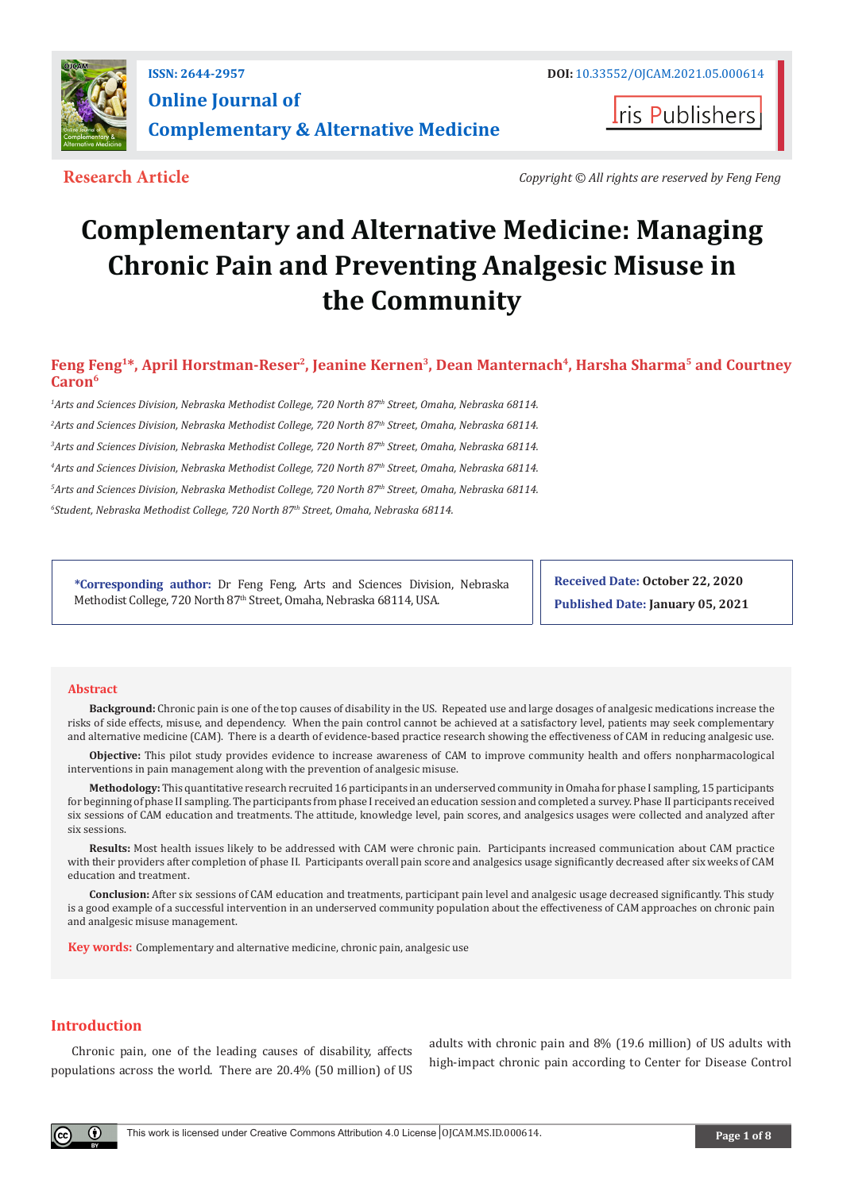

**Iris Publishers** 

**Research Article** *Copyright © All rights are reserved by Feng Feng*

# **Complementary and Alternative Medicine: Managing Chronic Pain and Preventing Analgesic Misuse in the Community**

Feng Feng<sup>1\*</sup>, April Horstman-Reser<sup>2</sup>, Jeanine Kernen<sup>3</sup>, Dean Manternach<sup>4</sup>, Harsha Sharma<sup>5</sup> and Courtney **Caron6**

 *Arts and Sciences Division, Nebraska Methodist College, 720 North 87th Street, Omaha, Nebraska 68114. Arts and Sciences Division, Nebraska Methodist College, 720 North 87th Street, Omaha, Nebraska 68114. Arts and Sciences Division, Nebraska Methodist College, 720 North 87th Street, Omaha, Nebraska 68114. Arts and Sciences Division, Nebraska Methodist College, 720 North 87th Street, Omaha, Nebraska 68114. Arts and Sciences Division, Nebraska Methodist College, 720 North 87th Street, Omaha, Nebraska 68114. Student, Nebraska Methodist College, 720 North 87th Street, Omaha, Nebraska 68114.* 

**\*Corresponding author:** Dr Feng Feng, Arts and Sciences Division, Nebraska Methodist College, 720 North 87<sup>th</sup> Street, Omaha, Nebraska 68114, USA.

**Received Date: October 22, 2020 Published Date: January 05, 2021**

#### **Abstract**

**Background:** Chronic pain is one of the top causes of disability in the US. Repeated use and large dosages of analgesic medications increase the risks of side effects, misuse, and dependency. When the pain control cannot be achieved at a satisfactory level, patients may seek complementary and alternative medicine (CAM). There is a dearth of evidence-based practice research showing the effectiveness of CAM in reducing analgesic use.

**Objective:** This pilot study provides evidence to increase awareness of CAM to improve community health and offers nonpharmacological interventions in pain management along with the prevention of analgesic misuse.

**Methodology:** This quantitative research recruited 16 participants in an underserved community in Omaha for phase I sampling, 15 participants for beginning of phase II sampling. The participants from phase I received an education session and completed a survey. Phase II participants received six sessions of CAM education and treatments. The attitude, knowledge level, pain scores, and analgesics usages were collected and analyzed after six sessions.

**Results:** Most health issues likely to be addressed with CAM were chronic pain. Participants increased communication about CAM practice with their providers after completion of phase II. Participants overall pain score and analgesics usage significantly decreased after six weeks of CAM education and treatment.

**Conclusion:** After six sessions of CAM education and treatments, participant pain level and analgesic usage decreased significantly. This study is a good example of a successful intervention in an underserved community population about the effectiveness of CAM approaches on chronic pain and analgesic misuse management.

**Key words:** Complementary and alternative medicine, chronic pain, analgesic use

# **Introduction**

Chronic pain, one of the leading causes of disability, affects populations across the world. There are 20.4% (50 million) of US

adults with chronic pain and 8% (19.6 million) of US adults with high-impact chronic pain according to Center for Disease Control

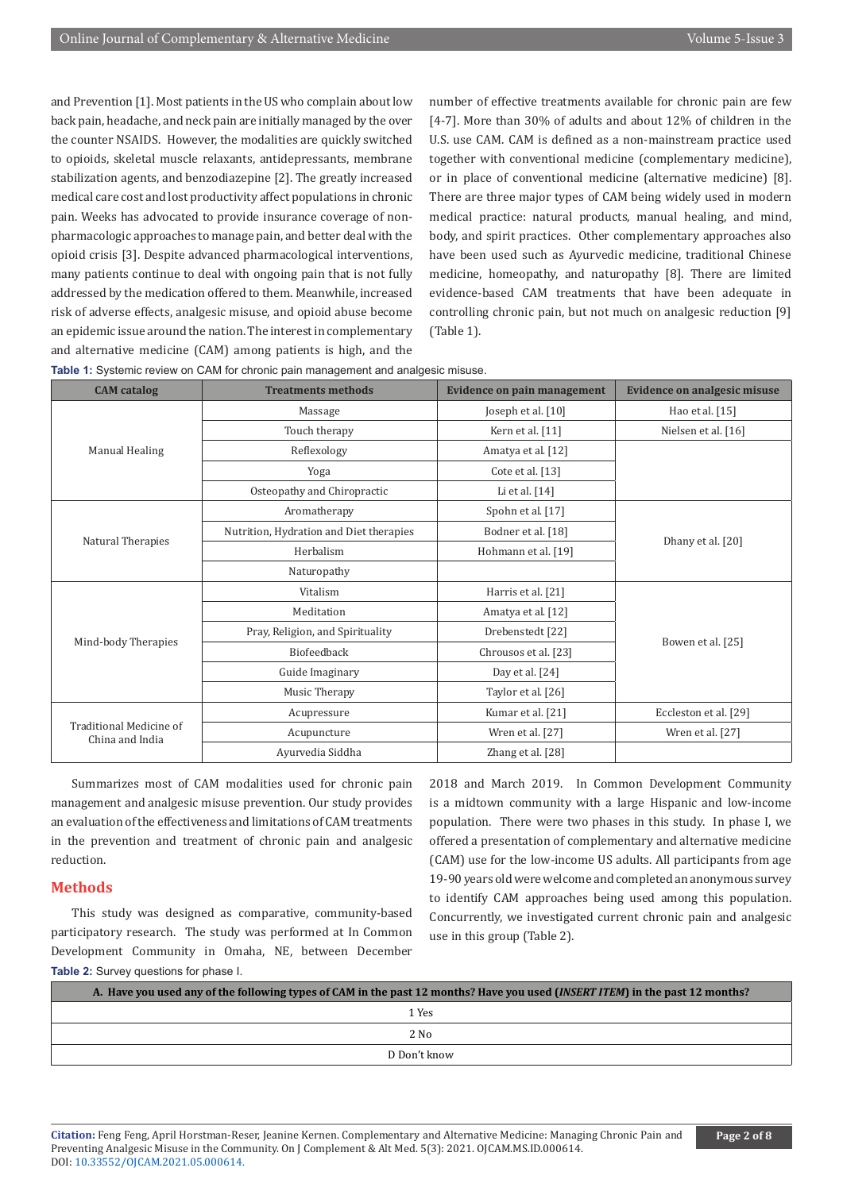and Prevention [1]. Most patients in the US who complain about low back pain, headache, and neck pain are initially managed by the over the counter NSAIDS. However, the modalities are quickly switched to opioids, skeletal muscle relaxants, antidepressants, membrane stabilization agents, and benzodiazepine [2]. The greatly increased medical care cost and lost productivity affect populations in chronic pain. Weeks has advocated to provide insurance coverage of nonpharmacologic approaches to manage pain, and better deal with the opioid crisis [3]. Despite advanced pharmacological interventions, many patients continue to deal with ongoing pain that is not fully addressed by the medication offered to them. Meanwhile, increased risk of adverse effects, analgesic misuse, and opioid abuse become an epidemic issue around the nation. The interest in complementary and alternative medicine (CAM) among patients is high, and the

number of effective treatments available for chronic pain are few [4-7]. More than 30% of adults and about 12% of children in the U.S. use CAM. CAM is defined as a non-mainstream practice used together with conventional medicine (complementary medicine), or in place of conventional medicine (alternative medicine) [8]. There are three major types of CAM being widely used in modern medical practice: natural products, manual healing, and mind, body, and spirit practices. Other complementary approaches also have been used such as Ayurvedic medicine, traditional Chinese medicine, homeopathy, and naturopathy [8]. There are limited evidence-based CAM treatments that have been adequate in controlling chronic pain, but not much on analgesic reduction [9] (Table 1).

|  |  |  |  |  | Table 1: Systemic review on CAM for chronic pain management and analgesic misuse. |
|--|--|--|--|--|-----------------------------------------------------------------------------------|
|--|--|--|--|--|-----------------------------------------------------------------------------------|

| <b>CAM</b> catalog                         | <b>Treatments methods</b>               | <b>Evidence on pain management</b> | Evidence on analgesic misuse |  |
|--------------------------------------------|-----------------------------------------|------------------------------------|------------------------------|--|
|                                            | Massage                                 | Joseph et al. [10]                 | Hao et al. [15]              |  |
|                                            | Touch therapy                           | Kern et al. [11]                   | Nielsen et al. [16]          |  |
| Manual Healing                             | Reflexology                             | Amatya et al. [12]                 |                              |  |
|                                            | Yoga                                    | Cote et al. [13]                   |                              |  |
|                                            | Osteopathy and Chiropractic             | Li et al. [14]                     |                              |  |
|                                            | Aromatherapy                            | Spohn et al. [17]                  |                              |  |
| Natural Therapies                          | Nutrition, Hydration and Diet therapies | Bodner et al. [18]                 |                              |  |
|                                            | Herbalism                               | Hohmann et al. [19]                | Dhany et al. [20]            |  |
|                                            | Naturopathy                             |                                    |                              |  |
|                                            | Vitalism                                | Harris et al. [21]                 | Bowen et al. [25]            |  |
|                                            | Meditation                              | Amatya et al. [12]                 |                              |  |
| Mind-body Therapies                        | Pray, Religion, and Spirituality        | Drebenstedt [22]                   |                              |  |
|                                            | Biofeedback                             | Chrousos et al. [23]               |                              |  |
|                                            | Guide Imaginary                         | Day et al. $[24]$                  |                              |  |
|                                            | Music Therapy                           | Taylor et al. [26]                 |                              |  |
|                                            | Acupressure                             | Kumar et al. [21]                  | Eccleston et al. [29]        |  |
| Traditional Medicine of<br>China and India | Acupuncture                             | Wren et al. [27]                   | Wren et al. [27]             |  |
|                                            | Ayurvedia Siddha                        | Zhang et al. [28]                  |                              |  |

Summarizes most of CAM modalities used for chronic pain management and analgesic misuse prevention. Our study provides an evaluation of the effectiveness and limitations of CAM treatments in the prevention and treatment of chronic pain and analgesic reduction.

## **Methods**

This study was designed as comparative, community-based participatory research. The study was performed at In Common Development Community in Omaha, NE, between December **Table 2:** Survey questions for phase I.

2018 and March 2019. In Common Development Community is a midtown community with a large Hispanic and low-income population. There were two phases in this study. In phase I, we offered a presentation of complementary and alternative medicine (CAM) use for the low-income US adults. All participants from age 19-90 years old were welcome and completed an anonymous survey to identify CAM approaches being used among this population. Concurrently, we investigated current chronic pain and analgesic use in this group (Table 2).

| A. Have you used any of the following types of CAM in the past 12 months? Have you used ( <i>INSERT ITEM</i> ) in the past 12 months? |  |
|---------------------------------------------------------------------------------------------------------------------------------------|--|
| 1 Yes                                                                                                                                 |  |
| $2$ No                                                                                                                                |  |
| D Don't know                                                                                                                          |  |

**Citation:** Feng Feng, April Horstman-Reser, Jeanine Kernen. Complementary and Alternative Medicine: Managing Chronic Pain and Preventing Analgesic Misuse in the Community. On J Complement & Alt Med. 5(3): 2021. OJCAM.MS.ID.000614. DOI: [10.33552/OJCAM.2021.05.000614](http://dx.doi.org/10.33552/OJCAM.2021.05.000614).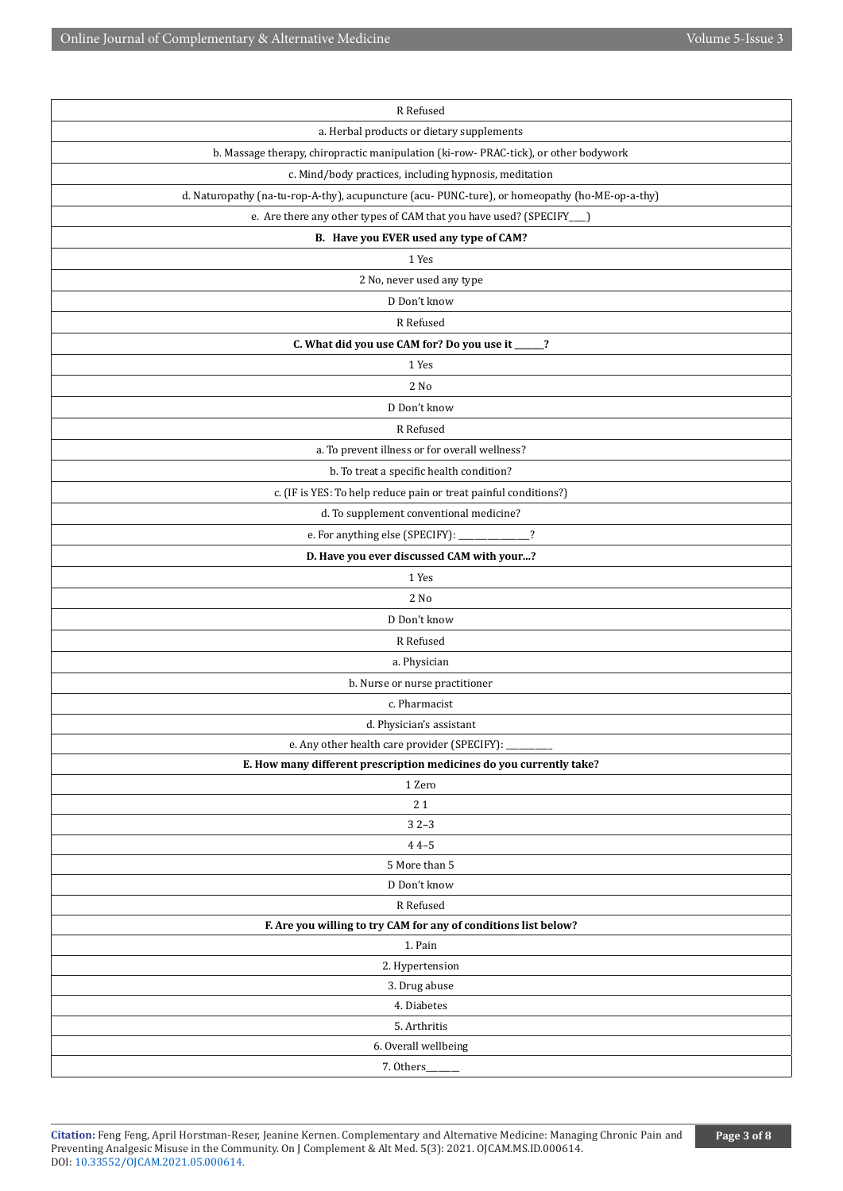| R Refused                                                                                     |
|-----------------------------------------------------------------------------------------------|
| a. Herbal products or dietary supplements                                                     |
| b. Massage therapy, chiropractic manipulation (ki-row-PRAC-tick), or other bodywork           |
| c. Mind/body practices, including hypnosis, meditation                                        |
| d. Naturopathy (na-tu-rop-A-thy), acupuncture (acu-PUNC-ture), or homeopathy (ho-ME-op-a-thy) |
| e. Are there any other types of CAM that you have used? (SPECIFY___)                          |
| B. Have you EVER used any type of CAM?                                                        |
| 1 Yes                                                                                         |
| 2 No, never used any type                                                                     |
| D Don't know                                                                                  |
| R Refused                                                                                     |
| C. What did you use CAM for? Do you use it ____?                                              |
| 1 Yes                                                                                         |
| 2 No                                                                                          |
| D Don't know                                                                                  |
| R Refused                                                                                     |
| a. To prevent illness or for overall wellness?                                                |
| b. To treat a specific health condition?                                                      |
| c. (IF is YES: To help reduce pain or treat painful conditions?)                              |
| d. To supplement conventional medicine?                                                       |
| e. For anything else (SPECIFY): ____________?                                                 |
| D. Have you ever discussed CAM with your?                                                     |
| 1 Yes                                                                                         |
| 2 No                                                                                          |
| D Don't know                                                                                  |
| R Refused                                                                                     |
| a. Physician                                                                                  |
| b. Nurse or nurse practitioner                                                                |
| c. Pharmacist                                                                                 |
| d. Physician's assistant                                                                      |
| e. Any other health care provider (SPECIFY):                                                  |
| E. How many different prescription medicines do you currently take?                           |
| 1 Zero                                                                                        |
| 21                                                                                            |
| $32-3$                                                                                        |
| $44 - 5$                                                                                      |
| 5 More than 5                                                                                 |
| D Don't know                                                                                  |
| R Refused                                                                                     |
| F. Are you willing to try CAM for any of conditions list below?                               |
| 1. Pain                                                                                       |
| 2. Hypertension                                                                               |
| 3. Drug abuse<br>4. Diabetes                                                                  |
| 5. Arthritis                                                                                  |
| 6. Overall wellbeing                                                                          |
| 7. Others_                                                                                    |
|                                                                                               |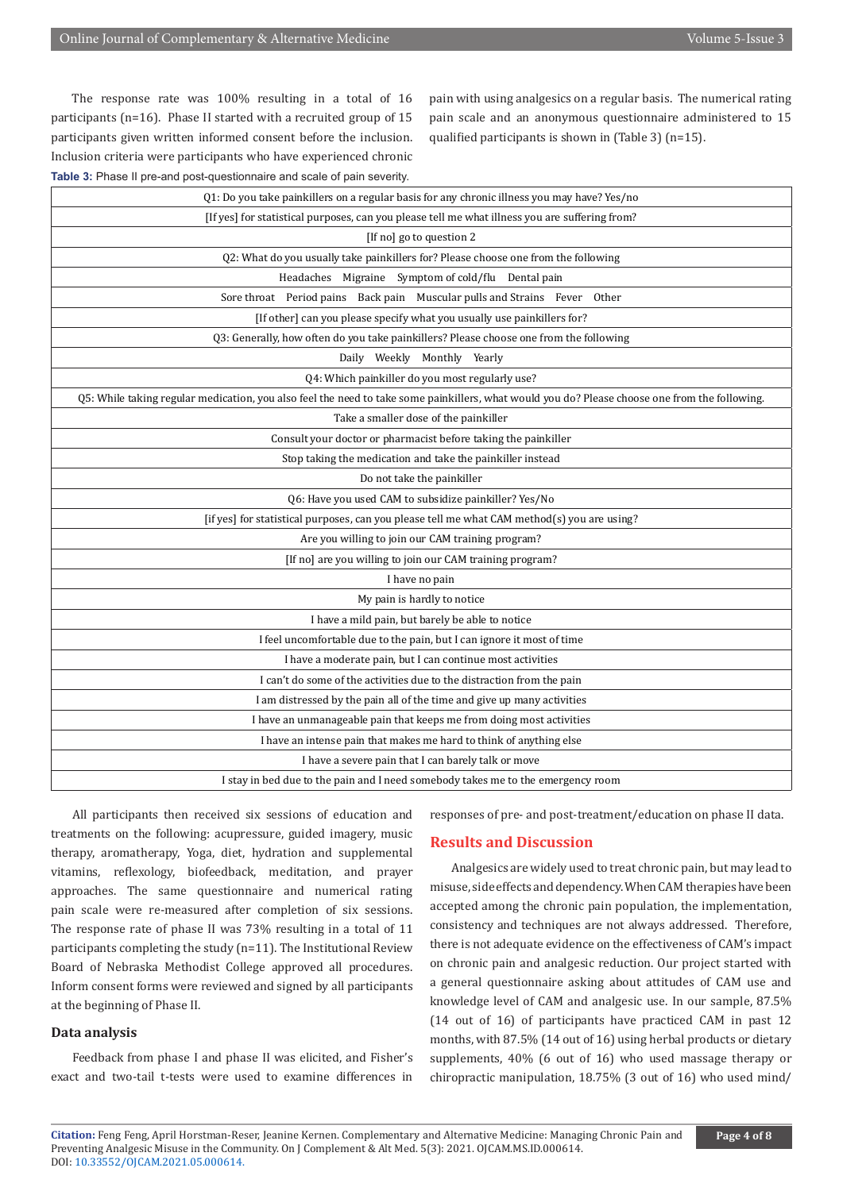The response rate was 100% resulting in a total of 16 participants (n=16). Phase II started with a recruited group of 15 participants given written informed consent before the inclusion. Inclusion criteria were participants who have experienced chronic **Table 3:** Phase II pre-and post-questionnaire and scale of pain severity.

pain with using analgesics on a regular basis. The numerical rating pain scale and an anonymous questionnaire administered to 15 qualified participants is shown in (Table 3) (n=15).

| Q1: Do you take painkillers on a regular basis for any chronic illness you may have? Yes/no                                                    |
|------------------------------------------------------------------------------------------------------------------------------------------------|
| [If yes] for statistical purposes, can you please tell me what illness you are suffering from?                                                 |
| [If no] go to question 2                                                                                                                       |
| Q2: What do you usually take painkillers for? Please choose one from the following                                                             |
| Headaches Migraine Symptom of cold/flu Dental pain                                                                                             |
| Sore throat Period pains Back pain Muscular pulls and Strains Fever Other                                                                      |
| [If other] can you please specify what you usually use painkillers for?                                                                        |
| Q3: Generally, how often do you take painkillers? Please choose one from the following                                                         |
| Daily Weekly Monthly Yearly                                                                                                                    |
| Q4: Which painkiller do you most regularly use?                                                                                                |
| Q5: While taking regular medication, you also feel the need to take some painkillers, what would you do? Please choose one from the following. |
| Take a smaller dose of the painkiller                                                                                                          |
| Consult your doctor or pharmacist before taking the painkiller                                                                                 |
| Stop taking the medication and take the painkiller instead                                                                                     |
| Do not take the painkiller                                                                                                                     |
| Q6: Have you used CAM to subsidize painkiller? Yes/No                                                                                          |
| [if yes] for statistical purposes, can you please tell me what CAM method(s) you are using?                                                    |
| Are you willing to join our CAM training program?                                                                                              |
| [If no] are you willing to join our CAM training program?                                                                                      |
| I have no pain                                                                                                                                 |
| My pain is hardly to notice                                                                                                                    |
| I have a mild pain, but barely be able to notice                                                                                               |
| I feel uncomfortable due to the pain, but I can ignore it most of time                                                                         |
| I have a moderate pain, but I can continue most activities                                                                                     |
| I can't do some of the activities due to the distraction from the pain                                                                         |
| I am distressed by the pain all of the time and give up many activities                                                                        |
| I have an unmanageable pain that keeps me from doing most activities                                                                           |
| I have an intense pain that makes me hard to think of anything else                                                                            |
| I have a severe pain that I can barely talk or move                                                                                            |
| I stay in bed due to the pain and I need somebody takes me to the emergency room                                                               |
|                                                                                                                                                |

All participants then received six sessions of education and treatments on the following: acupressure, guided imagery, music therapy, aromatherapy, Yoga, diet, hydration and supplemental vitamins, reflexology, biofeedback, meditation, and prayer approaches. The same questionnaire and numerical rating pain scale were re-measured after completion of six sessions. The response rate of phase II was 73% resulting in a total of 11 participants completing the study (n=11). The Institutional Review Board of Nebraska Methodist College approved all procedures. Inform consent forms were reviewed and signed by all participants at the beginning of Phase II.

# **Data analysis**

Feedback from phase I and phase II was elicited, and Fisher's exact and two-tail t-tests were used to examine differences in

responses of pre- and post-treatment/education on phase II data.

# **Results and Discussion**

Analgesics are widely used to treat chronic pain, but may lead to misuse, side effects and dependency. When CAM therapies have been accepted among the chronic pain population, the implementation, consistency and techniques are not always addressed. Therefore, there is not adequate evidence on the effectiveness of CAM's impact on chronic pain and analgesic reduction. Our project started with a general questionnaire asking about attitudes of CAM use and knowledge level of CAM and analgesic use. In our sample, 87.5% (14 out of 16) of participants have practiced CAM in past 12 months, with 87.5% (14 out of 16) using herbal products or dietary supplements, 40% (6 out of 16) who used massage therapy or chiropractic manipulation, 18.75% (3 out of 16) who used mind/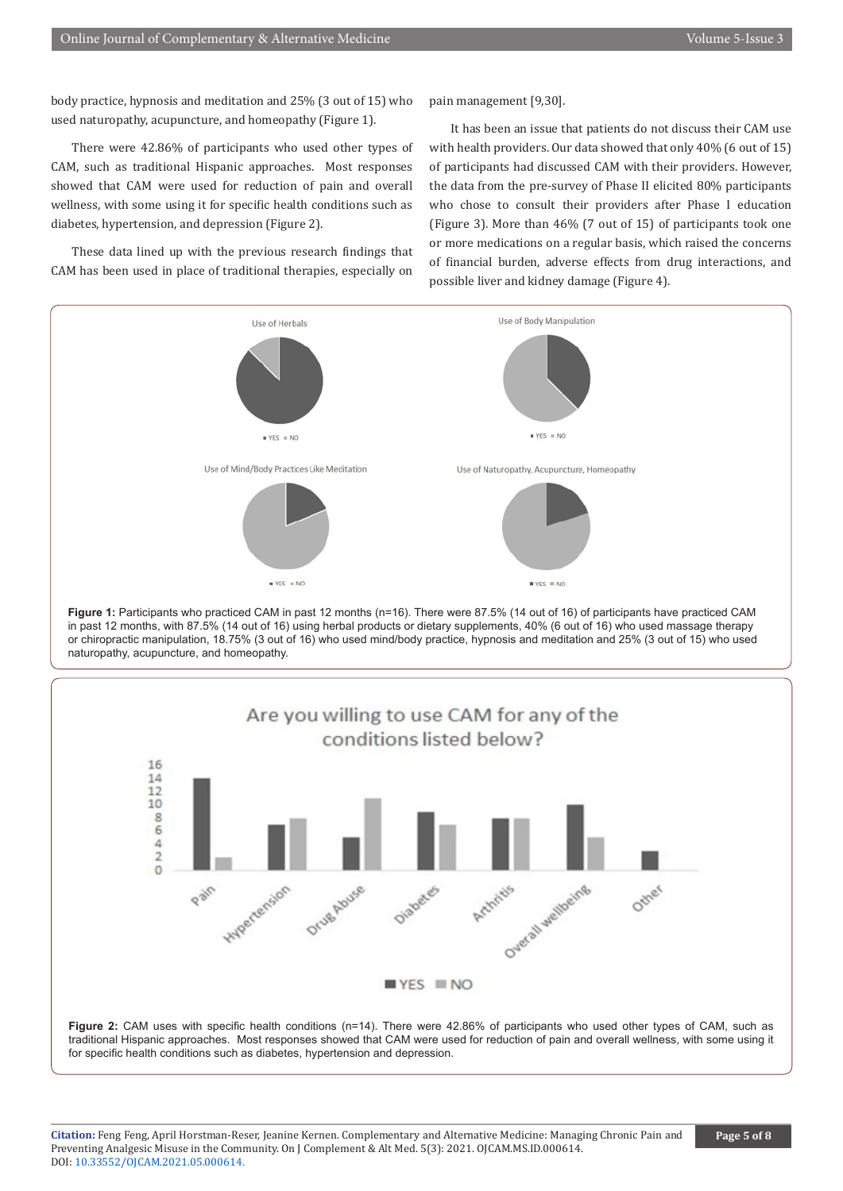body practice, hypnosis and meditation and 25% (3 out of 15) who used naturopathy, acupuncture, and homeopathy (Figure 1).

There were 42.86% of participants who used other types of CAM, such as traditional Hispanic approaches. Most responses showed that CAM were used for reduction of pain and overall wellness, with some using it for specific health conditions such as diabetes, hypertension, and depression (Figure 2).

These data lined up with the previous research findings that CAM has been used in place of traditional therapies, especially on

pain management [9,30].

It has been an issue that patients do not discuss their CAM use with health providers. Our data showed that only 40% (6 out of 15) of participants had discussed CAM with their providers. However, the data from the pre-survey of Phase II elicited 80% participants who chose to consult their providers after Phase I education (Figure 3). More than 46% (7 out of 15) of participants took one or more medications on a regular basis, which raised the concerns of financial burden, adverse effects from drug interactions, and possible liver and kidney damage (Figure 4).







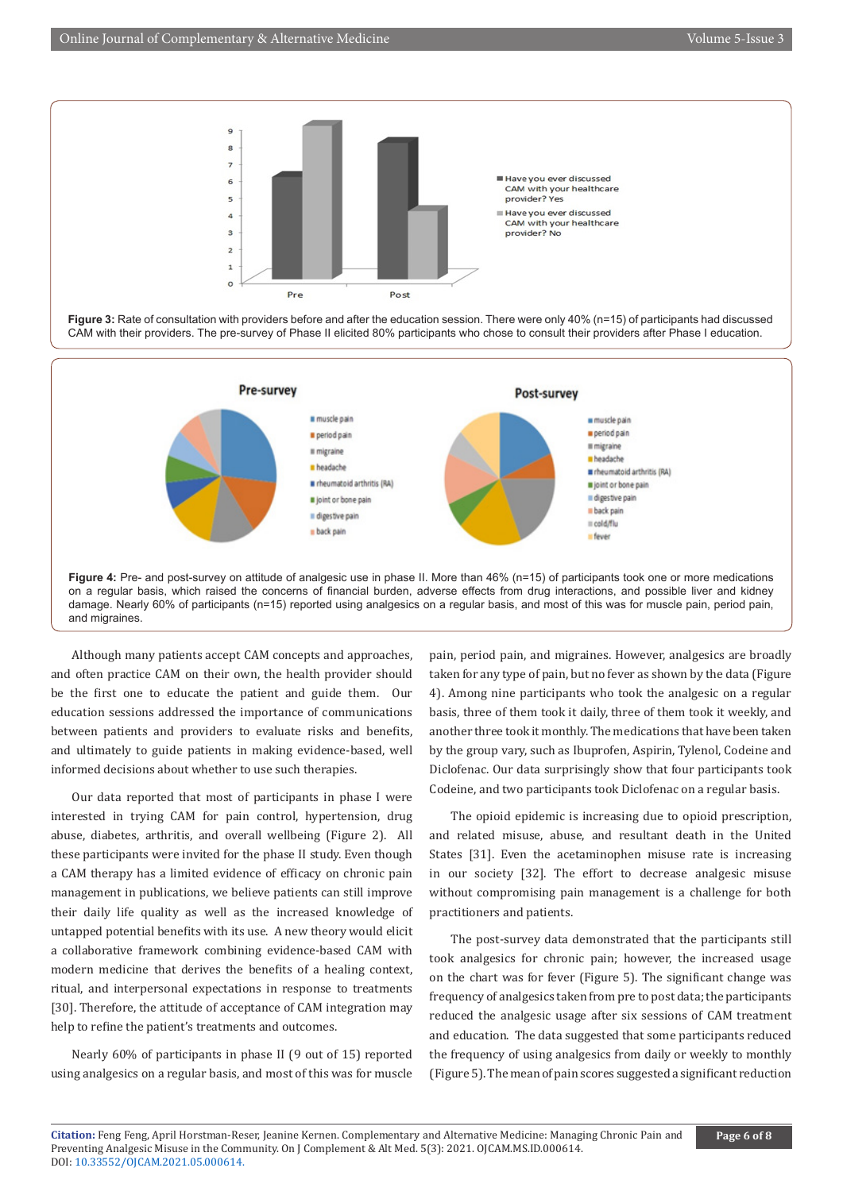





Although many patients accept CAM concepts and approaches, and often practice CAM on their own, the health provider should be the first one to educate the patient and guide them. Our education sessions addressed the importance of communications between patients and providers to evaluate risks and benefits, and ultimately to guide patients in making evidence-based, well informed decisions about whether to use such therapies.

Our data reported that most of participants in phase I were interested in trying CAM for pain control, hypertension, drug abuse, diabetes, arthritis, and overall wellbeing (Figure 2). All these participants were invited for the phase II study. Even though a CAM therapy has a limited evidence of efficacy on chronic pain management in publications, we believe patients can still improve their daily life quality as well as the increased knowledge of untapped potential benefits with its use. A new theory would elicit a collaborative framework combining evidence-based CAM with modern medicine that derives the benefits of a healing context, ritual, and interpersonal expectations in response to treatments [30]. Therefore, the attitude of acceptance of CAM integration may help to refine the patient's treatments and outcomes.

Nearly 60% of participants in phase II (9 out of 15) reported using analgesics on a regular basis, and most of this was for muscle pain, period pain, and migraines. However, analgesics are broadly taken for any type of pain, but no fever as shown by the data (Figure 4). Among nine participants who took the analgesic on a regular basis, three of them took it daily, three of them took it weekly, and another three took it monthly. The medications that have been taken by the group vary, such as Ibuprofen, Aspirin, Tylenol, Codeine and Diclofenac. Our data surprisingly show that four participants took Codeine, and two participants took Diclofenac on a regular basis.

The opioid epidemic is increasing due to opioid prescription, and related misuse, abuse, and resultant death in the United States [31]. Even the acetaminophen misuse rate is increasing in our society [32]. The effort to decrease analgesic misuse without compromising pain management is a challenge for both practitioners and patients.

The post-survey data demonstrated that the participants still took analgesics for chronic pain; however, the increased usage on the chart was for fever (Figure 5). The significant change was frequency of analgesics taken from pre to post data; the participants reduced the analgesic usage after six sessions of CAM treatment and education. The data suggested that some participants reduced the frequency of using analgesics from daily or weekly to monthly (Figure 5). The mean of pain scores suggested a significant reduction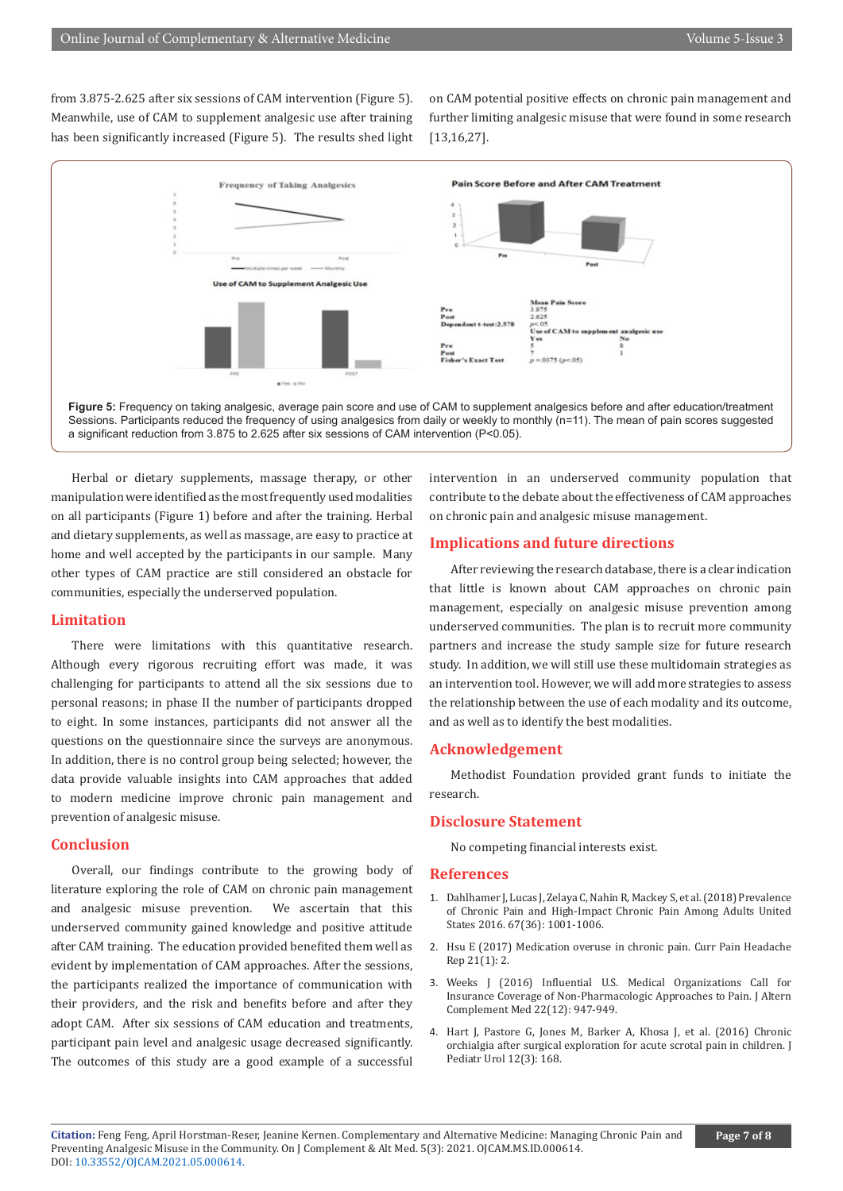from 3.875-2.625 after six sessions of CAM intervention (Figure 5). Meanwhile, use of CAM to supplement analgesic use after training has been significantly increased (Figure 5). The results shed light on CAM potential positive effects on chronic pain management and further limiting analgesic misuse that were found in some research [13,16,27].



Herbal or dietary supplements, massage therapy, or other manipulation were identified as the most frequently used modalities on all participants (Figure 1) before and after the training. Herbal and dietary supplements, as well as massage, are easy to practice at home and well accepted by the participants in our sample. Many other types of CAM practice are still considered an obstacle for communities, especially the underserved population.

## **Limitation**

There were limitations with this quantitative research. Although every rigorous recruiting effort was made, it was challenging for participants to attend all the six sessions due to personal reasons; in phase II the number of participants dropped to eight. In some instances, participants did not answer all the questions on the questionnaire since the surveys are anonymous. In addition, there is no control group being selected; however, the data provide valuable insights into CAM approaches that added to modern medicine improve chronic pain management and prevention of analgesic misuse.

#### **Conclusion**

Overall, our findings contribute to the growing body of literature exploring the role of CAM on chronic pain management and analgesic misuse prevention. We ascertain that this underserved community gained knowledge and positive attitude after CAM training. The education provided benefited them well as evident by implementation of CAM approaches. After the sessions, the participants realized the importance of communication with their providers, and the risk and benefits before and after they adopt CAM. After six sessions of CAM education and treatments, participant pain level and analgesic usage decreased significantly. The outcomes of this study are a good example of a successful

intervention in an underserved community population that contribute to the debate about the effectiveness of CAM approaches on chronic pain and analgesic misuse management.

## **Implications and future directions**

After reviewing the research database, there is a clear indication that little is known about CAM approaches on chronic pain management, especially on analgesic misuse prevention among underserved communities. The plan is to recruit more community partners and increase the study sample size for future research study. In addition, we will still use these multidomain strategies as an intervention tool. However, we will add more strategies to assess the relationship between the use of each modality and its outcome, and as well as to identify the best modalities.

#### **Acknowledgement**

Methodist Foundation provided grant funds to initiate the research.

#### **Disclosure Statement**

No competing financial interests exist.

#### **References**

- 1. Dahlhamer J, Lucas J, Zelaya C, Nahin R, Mackey S, et al. (2018) Prevalence of Chronic Pain and High-Impact Chronic Pain Among Adults United States 2016. 67(36): 1001-1006.
- 2. [Hsu E \(2017\) Medication overuse in chronic pain. Curr Pain Headache](https://pubmed.ncbi.nlm.nih.gov/28097532/) [Rep 21\(1\): 2.](https://pubmed.ncbi.nlm.nih.gov/28097532/)
- 3. [Weeks J \(2016\) Influential U.S. Medical Organizations Call for](https://pubmed.ncbi.nlm.nih.gov/27918195/) [Insurance Coverage of Non-Pharmacologic Approaches to Pain. J Altern](https://pubmed.ncbi.nlm.nih.gov/27918195/) [Complement Med 22\(12\): 947-949.](https://pubmed.ncbi.nlm.nih.gov/27918195/)
- 4. [Hart J, Pastore G, Jones M, Barker A, Khosa J, et al. \(2016\) Chronic](https://pubmed.ncbi.nlm.nih.gov/26776747/) [orchialgia after surgical exploration for acute scrotal pain in children. J](https://pubmed.ncbi.nlm.nih.gov/26776747/) [Pediatr Urol 12\(3\): 168.](https://pubmed.ncbi.nlm.nih.gov/26776747/)